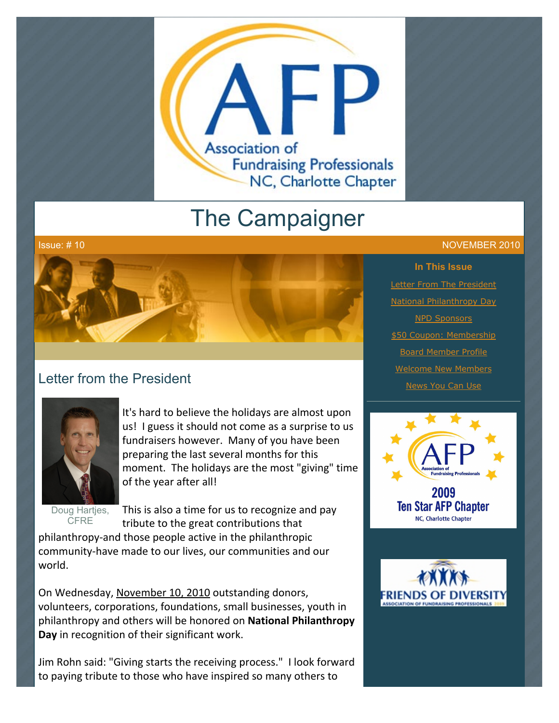

# The Campaigner



## Letter from the President



It's hard to believe the holidays are almost upon us! I guess it should not come as a surprise to us fundraisers however. Many of you have been preparing the last several months for this moment. The holidays are the most "giving" time of the year after all!

Doug Hartjes, **CFRE** 

This is also a time for us to recognize and pay tribute to the great contributions that

philanthropy-and those people active in the philanthropic community-have made to our lives, our communities and our world.

On Wednesday, November 10, 2010 outstanding donors, volunteers, corporations, foundations, small businesses, youth in philanthropy and others will be honored on **National Philanthropy Day** in recognition of their significant work.

Jim Rohn said: "Giving starts the receiving process." I look forward to paying tribute to those who have inspired so many others to

### Issue: # 10 NOVEMBER 2010

**In This Issue [Letter From The President](http://archive.constantcontact.com/fs051/1101610725496/archive/1103824074648.html#LETTER.BLOCK6)** [National Philanthropy Day](http://archive.constantcontact.com/fs051/1101610725496/archive/1103824074648.html#LETTER.BLOCK16) [NPD Sponsors](http://archive.constantcontact.com/fs051/1101610725496/archive/1103824074648.html#LETTER.BLOCK29) [\\$50 Coupon: Membership](http://archive.constantcontact.com/fs051/1101610725496/archive/1103824074648.html#LETTER.BLOCK28) [Board Member Profile](http://archive.constantcontact.com/fs051/1101610725496/archive/1103824074648.html#LETTER.BLOCK35) [Welcome New Members](http://archive.constantcontact.com/fs051/1101610725496/archive/1103824074648.html#LETTER.BLOCK14) **[News You Can Use](http://archive.constantcontact.com/fs051/1101610725496/archive/1103824074648.html#LETTER.BLOCK18)** 



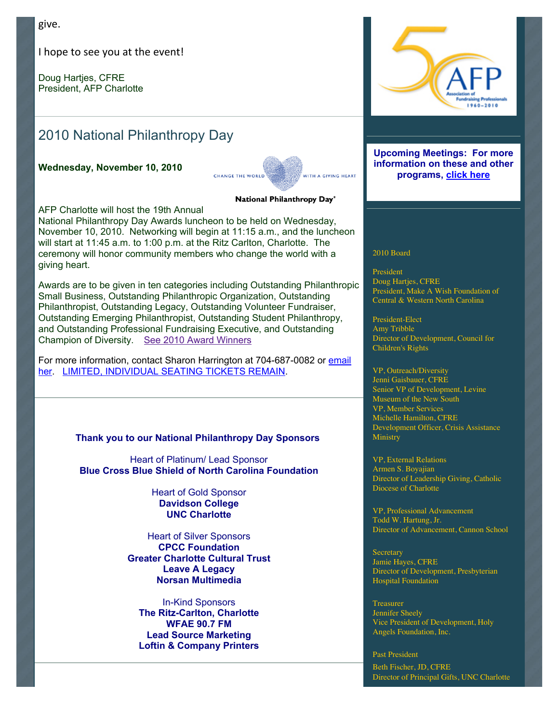give.

I hope to see you at the event!

Doug Harties, CFRE President, AFP Charlotte

# 2010 National Philanthropy Day

**Wednesday, November 10, 2010**



National Philanthropy Day®

AFP Charlotte will host the 19th Annual

National Philanthropy Day Awards luncheon to be held on Wednesday, November 10, 2010. Networking will begin at 11:15 a.m., and the luncheon will start at 11:45 a.m. to 1:00 p.m. at the Ritz Carlton, Charlotte. The ceremony will honor community members who change the world with a giving heart.

Awards are to be given in ten categories including Outstanding Philanthropic Small Business, Outstanding Philanthropic Organization, Outstanding Philanthropist, Outstanding Legacy, Outstanding Volunteer Fundraiser, Outstanding Emerging Philanthropist, Outstanding Student Philanthropy, and Outstanding Professional Fundraising Executive, and Outstanding Champion of Diversity. [See 2010 Award Winners](http://archive.constantcontact.com/fs051/1101610725496/archive/1103605995535.html)

[For more information, contact Sharon Harrington at 704-687-0082 or email](mailto:scharrin@uncc.edu) her. [LIMITED, INDIVIDUAL SEATING TICKETS REMAIN.](http://afp-charlotte.org/rsvp_details.html?id=2925)

### **Thank you to our National Philanthropy Day Sponsors**

Heart of Platinum/ Lead Sponsor **Blue Cross Blue Shield of North Carolina Foundation**

> Heart of Gold Sponsor **Davidson College UNC Charlotte**

Heart of Silver Sponsors **CPCC Foundation Greater Charlotte Cultural Trust Leave A Legacy Norsan Multimedia**

In-Kind Sponsors **The Ritz-Carlton, Charlotte WFAE 90.7 FM Lead Source Marketing Loftin & Company Printers**



#### **Upcoming Meetings: For more information on these and other programs, [click here](http://www.afp-charlotte.org/rsvp.html)**

#### 2010 Board

President Doug Hartjes, CFRE President, Make A Wish Foundation of Central & Western North Carolina

President-Elect Amy Tribble Director of Development, Council for Children's Rights

VP, Outreach/Diversity Jenni Gaisbauer, CFRE Senior VP of Development, Levine Museum of the New South VP, Member Services Michelle Hamilton, CFRE Development Officer, Crisis Assistance **Ministry** 

VP, External Relations Armen S. Boyajian Director of Leadership Giving, Catholic Diocese of Charlotte

VP, Professional Advancement Todd W. Hartung, Jr. Director of Advancement, Cannon School

**Secretary** Jamie Hayes, CFRE Director of Development, Presbyterian Hospital Foundation

Treasurer Jennifer Sheely Vice President of Development, Holy Angels Foundation, Inc.

Past President Beth Fischer, JD, CFRE Director of Principal Gifts, UNC Charlotte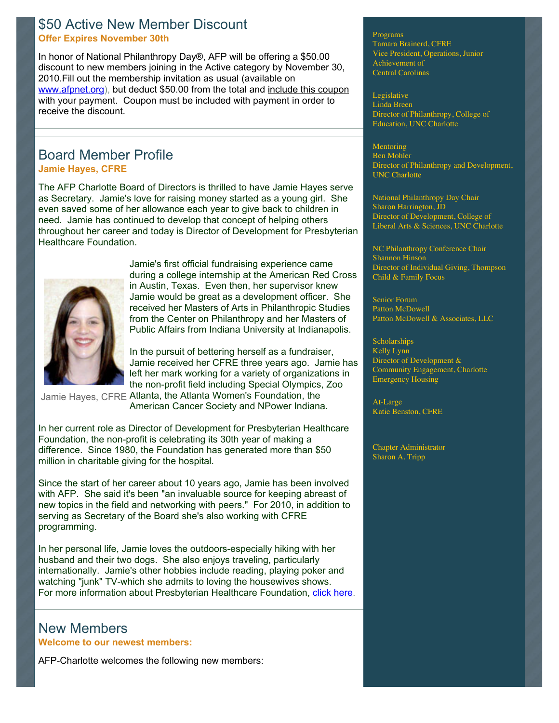## \$50 Active New Member Discount **Offer Expires November 30th**

In honor of National Philanthropy Day®, AFP will be offering a \$50.00 discount to new members joining in the Active category by November 30, 2010.Fill out the membership invitation as usual (available on [www.afpnet.org\)](http://www.afpnet.org/), but deduct \$50.00 from the total and [include this coupon](http://www.afp-charlotte.org/customers/102012921065393/filemanager/10NPD_member_discount.pdf) with your payment. Coupon must be included with payment in order to receive the discount.

## Board Member Profile **Jamie Hayes, CFRE**

The AFP Charlotte Board of Directors is thrilled to have Jamie Hayes serve as Secretary. Jamie's love for raising money started as a young girl. She even saved some of her allowance each year to give back to children in need. Jamie has continued to develop that concept of helping others throughout her career and today is Director of Development for Presbyterian Healthcare Foundation.



Jamie's first official fundraising experience came during a college internship at the American Red Cross in Austin, Texas. Even then, her supervisor knew Jamie would be great as a development officer. She received her Masters of Arts in Philanthropic Studies from the Center on Philanthropy and her Masters of Public Affairs from Indiana University at Indianapolis.

In the pursuit of bettering herself as a fundraiser, Jamie received her CFRE three years ago. Jamie has left her mark working for a variety of organizations in the non-profit field including Special Olympics, Zoo

Jamie Hayes, CFRE Atlanta, the Atlanta Women's Foundation, the

American Cancer Society and NPower Indiana.

In her current role as Director of Development for Presbyterian Healthcare Foundation, the non-profit is celebrating its 30th year of making a difference. Since 1980, the Foundation has generated more than \$50 million in charitable giving for the hospital.

Since the start of her career about 10 years ago, Jamie has been involved with AFP. She said it's been "an invaluable source for keeping abreast of new topics in the field and networking with peers." For 2010, in addition to serving as Secretary of the Board she's also working with CFRE programming.

In her personal life, Jamie loves the outdoors-especially hiking with her husband and their two dogs. She also enjoys traveling, particularly internationally. Jamie's other hobbies include reading, playing poker and watching "junk" TV-which she admits to loving the housewives shows. For more information about Presbyterian Healthcare Foundation, [click here.](http://http//www.presbyterian.org/site/give_back/foundation/?utm_source=redirect&utm_medium=all&utm_campaign=foundation)

## New Members **Welcome to our newest members:**

AFP-Charlotte welcomes the following new members:

Programs Tamara Brainerd, CFRE Vice President, Operations, Junior Achievement of Central Carolinas

Legislative Linda Breen Director of Philanthropy, College of Education, UNC Charlotte

**Mentoring** Ben Mohler Director of Philanthropy and Development, UNC Charlotte

National Philanthropy Day Chair Sharon Harrington, JD Director of Development, College of Liberal Arts & Sciences, UNC Charlotte

NC Philanthropy Conference Chair Shannon Hinson Director of Individual Giving, Thompson Child & Family Focus

Senior Forum Patton McDowell Patton McDowell & Associates, LLC

**Scholarships** Kelly Lynn Director of Development & Community Engagement, Charlotte Emergency Housing

At-Large Katie Benston, CFRE

Chapter Administrator Sharon A. Tripp